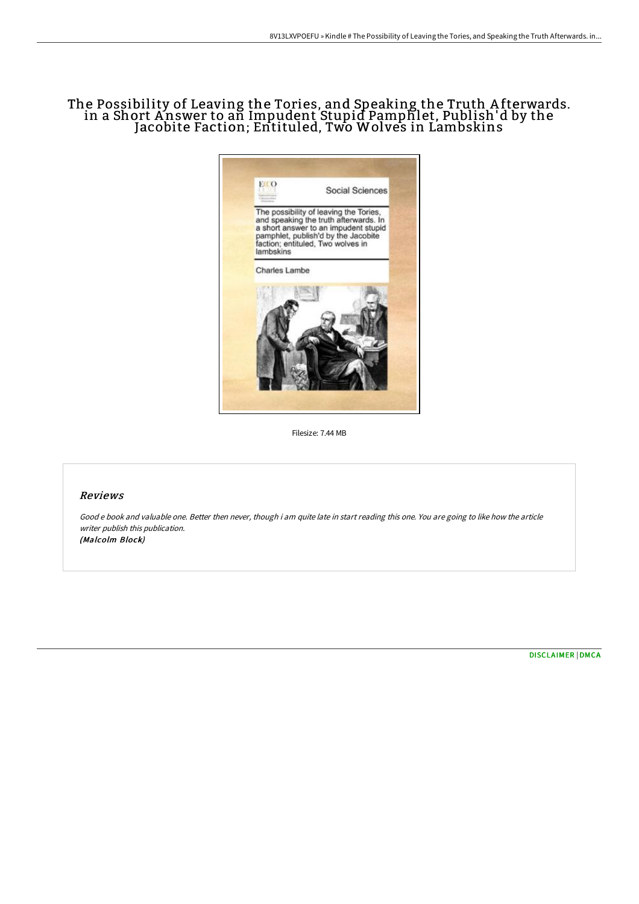# The Possibility of Leaving the Tories, and Speaking the Truth A fterwards. in a Short Answer to an Impudent Stupid Pamphlet, Publish'd by the Jacobite Faction; Entituled, Two Wolves in Lambskins



Filesize: 7.44 MB

## Reviews

Good <sup>e</sup> book and valuable one. Better then never, though i am quite late in start reading this one. You are going to like how the article writer publish this publication. (Malcolm Block)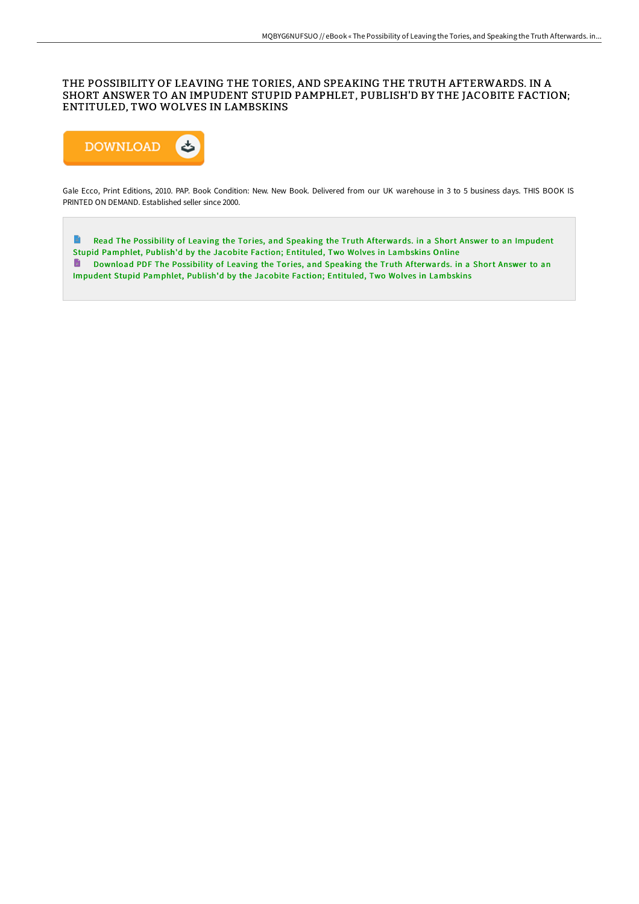## THE POSSIBILITY OF LEAVING THE TORIES, AND SPEAKING THE TRUTH AFTERWARDS. IN A SHORT ANSWER TO AN IMPUDENT STUPID PAMPHLET, PUBLISH'D BY THE JACOBITE FACTION; ENTITULED, TWO WOLVES IN LAMBSKINS



Gale Ecco, Print Editions, 2010. PAP. Book Condition: New. New Book. Delivered from our UK warehouse in 3 to 5 business days. THIS BOOK IS PRINTED ON DEMAND. Established seller since 2000.

 $\blacksquare$ Read The Possibility of Leaving the Tories, and Speaking the Truth [Afterwards.](http://www.bookdirs.com/the-possibility-of-leaving-the-tories-and-speaki.html) in a Short Answer to an Impudent Stupid Pamphlet, Publish'd by the Jacobite Faction; Entituled, Two Wolves in Lambskins Online Download PDF The Possibility of Leaving the Tories, and Speaking the Truth [Afterwards.](http://www.bookdirs.com/the-possibility-of-leaving-the-tories-and-speaki.html) in a Short Answer to an Impudent Stupid Pamphlet, Publish'd by the Jacobite Faction; Entituled, Two Wolves in Lambskins